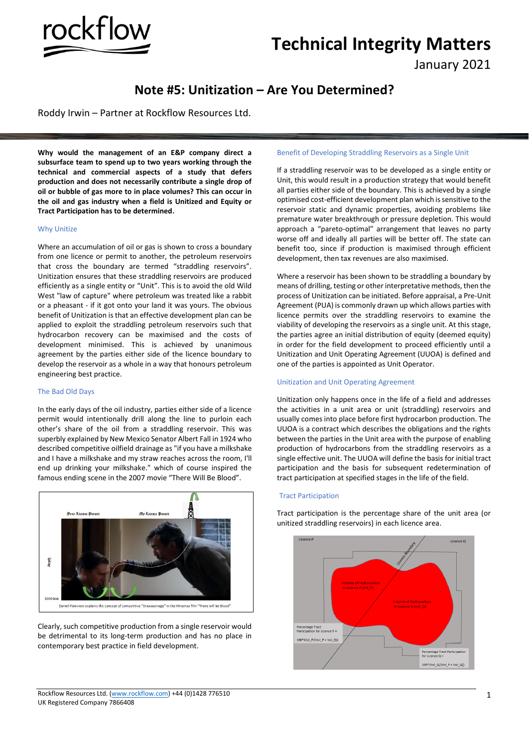# **Technical Integrity Matters**

January 2021

# **Note #5: Unitization – Are You Determined?**

Roddy Irwin – Partner at Rockflow Resources Ltd.

rockflow

**Why would the management of an E&P company direct a subsurface team to spend up to two years working through the technical and commercial aspects of a study that defers production and does not necessarily contribute a single drop of oil or bubble of gas more to in place volumes? This can occur in the oil and gas industry when a field is Unitized and Equity or Tract Participation has to be determined.** 

#### Why Unitize

Where an accumulation of oil or gas is shown to cross a boundary from one licence or permit to another, the petroleum reservoirs that cross the boundary are termed "straddling reservoirs". Unitization ensures that these straddling reservoirs are produced efficiently as a single entity or "Unit". This is to avoid the old Wild West "law of capture" where petroleum was treated like a rabbit or a pheasant - if it got onto your land it was yours. The obvious benefit of Unitization is that an effective development plan can be applied to exploit the straddling petroleum reservoirs such that hydrocarbon recovery can be maximised and the costs of development minimised. This is achieved by unanimous agreement by the parties either side of the licence boundary to develop the reservoir as a whole in a way that honours petroleum engineering best practice.

# The Bad Old Days

In the early days of the oil industry, parties either side of a licence permit would intentionally drill along the line to purloin each other's share of the oil from a straddling reservoir. This was superbly explained by New Mexico Senator Albert Fall in 1924 who described competitive oilfield drainage as "if you have a milkshake and I have a milkshake and my straw reaches across the room, I'll end up drinking your milkshake." which of course inspired the famous ending scene in the 2007 movie "There Will Be Blood".



Clearly, such competitive production from a single reservoir would be detrimental to its long-term production and has no place in contemporary best practice in field development.

#### Benefit of Developing Straddling Reservoirs as a Single Unit

If a straddling reservoir was to be developed as a single entity or Unit, this would result in a production strategy that would benefit all parties either side of the boundary. This is achieved by a single optimised cost-efficient development plan which is sensitive to the reservoir static and dynamic properties, avoiding problems like premature water breakthrough or pressure depletion. This would approach a "pareto-optimal" arrangement that leaves no party worse off and ideally all parties will be better off. The state can benefit too, since if production is maximised through efficient development, then tax revenues are also maximised.

Where a reservoir has been shown to be straddling a boundary by means of drilling, testing or other interpretative methods, then the process of Unitization can be initiated. Before appraisal, a Pre-Unit Agreement (PUA) is commonly drawn up which allows parties with licence permits over the straddling reservoirs to examine the viability of developing the reservoirs as a single unit. At this stage, the parties agree an initial distribution of equity (deemed equity) in order for the field development to proceed efficiently until a Unitization and Unit Operating Agreement (UUOA) is defined and one of the parties is appointed as Unit Operator.

### Unitization and Unit Operating Agreement

Unitization only happens once in the life of a field and addresses the activities in a unit area or unit (straddling) reservoirs and usually comes into place before first hydrocarbon production. The UUOA is a contract which describes the obligations and the rights between the parties in the Unit area with the purpose of enabling production of hydrocarbons from the straddling reservoirs as a single effective unit. The UUOA will define the basis for initial tract participation and the basis for subsequent redetermination of tract participation at specified stages in the life of the field.

# Tract Participation

Tract participation is the percentage share of the unit area (or unitized straddling reservoirs) in each licence area.

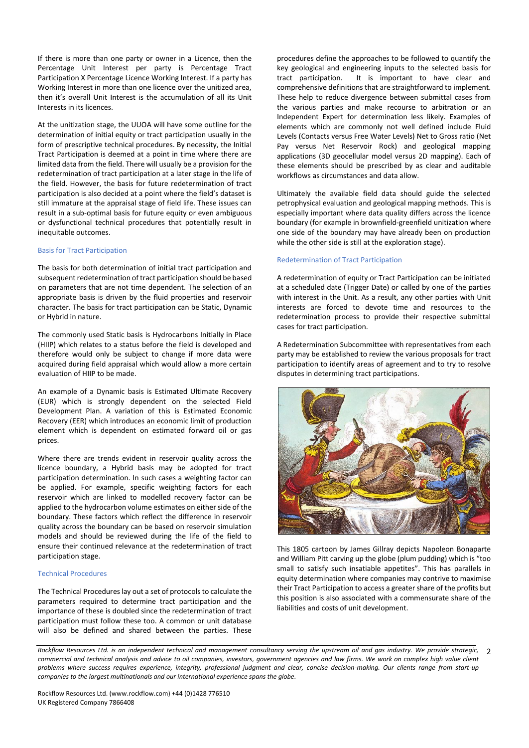If there is more than one party or owner in a Licence, then the Percentage Unit Interest per party is Percentage Tract Participation X Percentage Licence Working Interest. If a party has Working Interest in more than one licence over the unitized area, then it's overall Unit Interest is the accumulation of all its Unit Interests in its licences.

At the unitization stage, the UUOA will have some outline for the determination of initial equity or tract participation usually in the form of prescriptive technical procedures. By necessity, the Initial Tract Participation is deemed at a point in time where there are limited data from the field. There will usually be a provision for the redetermination of tract participation at a later stage in the life of the field. However, the basis for future redetermination of tract participation is also decided at a point where the field's dataset is still immature at the appraisal stage of field life. These issues can result in a sub-optimal basis for future equity or even ambiguous or dysfunctional technical procedures that potentially result in inequitable outcomes.

# Basis for Tract Participation

The basis for both determination of initial tract participation and subsequent redetermination of tract participation should be based on parameters that are not time dependent. The selection of an appropriate basis is driven by the fluid properties and reservoir character. The basis for tract participation can be Static, Dynamic or Hybrid in nature.

The commonly used Static basis is Hydrocarbons Initially in Place (HIIP) which relates to a status before the field is developed and therefore would only be subject to change if more data were acquired during field appraisal which would allow a more certain evaluation of HIIP to be made.

An example of a Dynamic basis is Estimated Ultimate Recovery (EUR) which is strongly dependent on the selected Field Development Plan. A variation of this is Estimated Economic Recovery (EER) which introduces an economic limit of production element which is dependent on estimated forward oil or gas prices.

Where there are trends evident in reservoir quality across the licence boundary, a Hybrid basis may be adopted for tract participation determination. In such cases a weighting factor can be applied. For example, specific weighting factors for each reservoir which are linked to modelled recovery factor can be applied to the hydrocarbon volume estimates on either side of the boundary. These factors which reflect the difference in reservoir quality across the boundary can be based on reservoir simulation models and should be reviewed during the life of the field to ensure their continued relevance at the redetermination of tract participation stage.

# Technical Procedures

The Technical Procedures lay out a set of protocols to calculate the parameters required to determine tract participation and the importance of these is doubled since the redetermination of tract participation must follow these too. A common or unit database will also be defined and shared between the parties. These procedures define the approaches to be followed to quantify the key geological and engineering inputs to the selected basis for tract participation. It is important to have clear and comprehensive definitions that are straightforward to implement. These help to reduce divergence between submittal cases from the various parties and make recourse to arbitration or an Independent Expert for determination less likely. Examples of elements which are commonly not well defined include Fluid Levels (Contacts versus Free Water Levels) Net to Gross ratio (Net Pay versus Net Reservoir Rock) and geological mapping applications (3D geocellular model versus 2D mapping). Each of these elements should be prescribed by as clear and auditable workflows as circumstances and data allow.

Ultimately the available field data should guide the selected petrophysical evaluation and geological mapping methods. This is especially important where data quality differs across the licence boundary (for example in brownfield-greenfield unitization where one side of the boundary may have already been on production while the other side is still at the exploration stage).

### Redetermination of Tract Participation

A redetermination of equity or Tract Participation can be initiated at a scheduled date (Trigger Date) or called by one of the parties with interest in the Unit. As a result, any other parties with Unit interests are forced to devote time and resources to the redetermination process to provide their respective submittal cases for tract participation.

A Redetermination Subcommittee with representatives from each party may be established to review the various proposals for tract participation to identify areas of agreement and to try to resolve disputes in determining tract participations.



This 1805 cartoon by James Gillray depicts Napoleon Bonaparte and William Pitt carving up the globe (plum pudding) which is "too small to satisfy such insatiable appetites". This has parallels in equity determination where companies may contrive to maximise their Tract Participation to access a greater share of the profits but this position is also associated with a commensurate share of the liabilities and costs of unit development.

*Rockflow Resources Ltd. is an independent technical and management consultancy serving the upstream oil and gas industry. We provide strategic, commercial and technical analysis and advice to oil companies, investors, government agencies and law firms. We work on complex high value client problems where success requires experience, integrity, professional judgment and clear, concise decision-making. Our clients range from start-up companies to the largest multinationals and our international experience spans the globe.* 2

Rockflow Resources Ltd. (www.rockflow.com) +44 (0)1428 776510 UK Registered Company 7866408